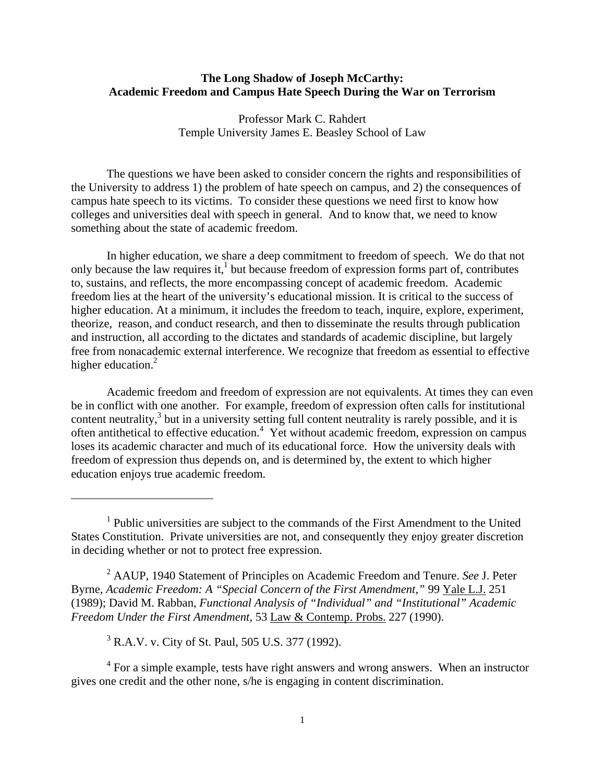# **The Long Shadow of Joseph McCarthy: Academic Freedom and Campus Hate Speech During the War on Terrorism**

Professor Mark C. Rahdert Temple University James E. Beasley School of Law

 The questions we have been asked to consider concern the rights and responsibilities of the University to address 1) the problem of hate speech on campus, and 2) the consequences of campus hate speech to its victims. To consider these questions we need first to know how colleges and universities deal with speech in general. And to know that, we need to know something about the state of academic freedom.

 In higher education, we share a deep commitment to freedom of speech. We do that not only because the law requires it,<sup>1</sup> but because freedom of expression forms part of, contributes to, sustains, and reflects, the more encompassing concept of academic freedom. Academic freedom lies at the heart of the university's educational mission. It is critical to the success of higher education. At a minimum, it includes the freedom to teach, inquire, explore, experiment, theorize, reason, and conduct research, and then to disseminate the results through publication and instruction, all according to the dictates and standards of academic discipline, but largely free from nonacademic external interference. We recognize that freedom as essential to effective higher education.<sup>2</sup>

 Academic freedom and freedom of expression are not equivalents. At times they can even be in conflict with one another. For example, freedom of expression often calls for institutional content neutrality, $3$  but in a university setting full content neutrality is rarely possible, and it is often antithetical to effective education.<sup>4</sup> Yet without academic freedom, expression on campus loses its academic character and much of its educational force. How the university deals with freedom of expression thus depends on, and is determined by, the extent to which higher education enjoys true academic freedom.

2 AAUP, 1940 Statement of Principles on Academic Freedom and Tenure. *See* J. Peter Byrne, *Academic Freedom: A "Special Concern of the First Amendment,"* 99 Yale L.J. 251 (1989); David M. Rabban, *Functional Analysis of "Individual" and "Institutional" Academic Freedom Under the First Amendment,* 53 Law & Contemp. Probs. 227 (1990).

<sup>3</sup> R.A.V. v. City of St. Paul, 505 U.S. 377 (1992).

1

 $4$  For a simple example, tests have right answers and wrong answers. When an instructor gives one credit and the other none, s/he is engaging in content discrimination.

<sup>&</sup>lt;sup>1</sup> Public universities are subject to the commands of the First Amendment to the United States Constitution. Private universities are not, and consequently they enjoy greater discretion in deciding whether or not to protect free expression.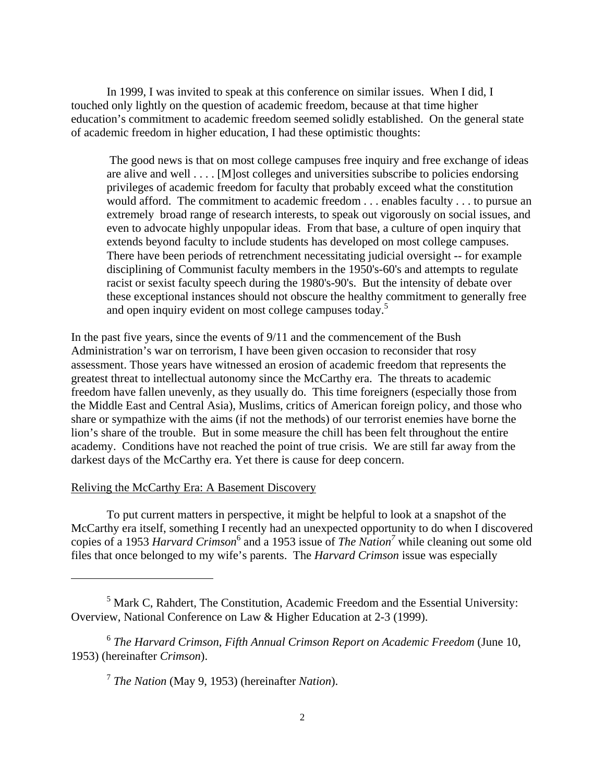In 1999, I was invited to speak at this conference on similar issues. When I did, I touched only lightly on the question of academic freedom, because at that time higher education's commitment to academic freedom seemed solidly established. On the general state of academic freedom in higher education, I had these optimistic thoughts:

 The good news is that on most college campuses free inquiry and free exchange of ideas are alive and well . . . . [M]ost colleges and universities subscribe to policies endorsing privileges of academic freedom for faculty that probably exceed what the constitution would afford. The commitment to academic freedom . . . enables faculty . . . to pursue an extremely broad range of research interests, to speak out vigorously on social issues, and even to advocate highly unpopular ideas. From that base, a culture of open inquiry that extends beyond faculty to include students has developed on most college campuses. There have been periods of retrenchment necessitating judicial oversight -- for example disciplining of Communist faculty members in the 1950's-60's and attempts to regulate racist or sexist faculty speech during the 1980's-90's. But the intensity of debate over these exceptional instances should not obscure the healthy commitment to generally free and open inquiry evident on most college campuses today.<sup>5</sup>

In the past five years, since the events of 9/11 and the commencement of the Bush Administration's war on terrorism, I have been given occasion to reconsider that rosy assessment. Those years have witnessed an erosion of academic freedom that represents the greatest threat to intellectual autonomy since the McCarthy era. The threats to academic freedom have fallen unevenly, as they usually do. This time foreigners (especially those from the Middle East and Central Asia), Muslims, critics of American foreign policy, and those who share or sympathize with the aims (if not the methods) of our terrorist enemies have borne the lion's share of the trouble. But in some measure the chill has been felt throughout the entire academy. Conditions have not reached the point of true crisis. We are still far away from the darkest days of the McCarthy era. Yet there is cause for deep concern.

## Reliving the McCarthy Era: A Basement Discovery

 $\overline{a}$ 

 To put current matters in perspective, it might be helpful to look at a snapshot of the McCarthy era itself, something I recently had an unexpected opportunity to do when I discovered copies of a 1953 *Harvard Crimson*<sup>6</sup> and a 1953 issue of *The Nation*<sup>7</sup> while cleaning out some old files that once belonged to my wife's parents. The *Harvard Crimson* issue was especially

<sup>&</sup>lt;sup>5</sup> Mark C, Rahdert, The Constitution, Academic Freedom and the Essential University: Overview, National Conference on Law & Higher Education at 2-3 (1999).

<sup>6</sup> *The Harvard Crimson, Fifth Annual Crimson Report on Academic Freedom* (June 10, 1953) (hereinafter *Crimson*).

<sup>7</sup> *The Nation* (May 9, 1953) (hereinafter *Nation*).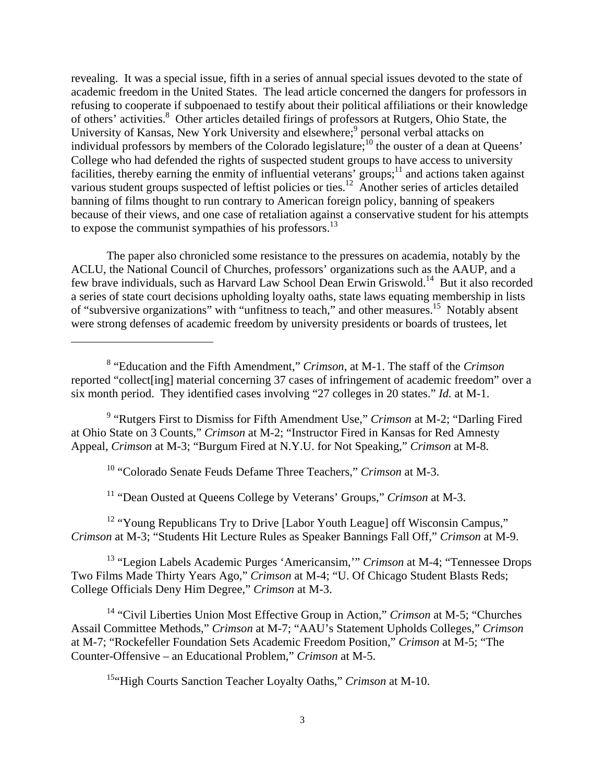revealing. It was a special issue, fifth in a series of annual special issues devoted to the state of academic freedom in the United States. The lead article concerned the dangers for professors in refusing to cooperate if subpoenaed to testify about their political affiliations or their knowledge of others' activities.<sup>8</sup> Other articles detailed firings of professors at Rutgers, Ohio State, the University of Kansas, New York University and elsewhere;<sup>9</sup> personal verbal attacks on individual professors by members of the Colorado legislature;<sup>10</sup> the ouster of a dean at Queens' College who had defended the rights of suspected student groups to have access to university facilities, thereby earning the enmity of influential veterans' groups;<sup>11</sup> and actions taken against various student groups suspected of leftist policies or ties.<sup>12</sup> Another series of articles detailed banning of films thought to run contrary to American foreign policy, banning of speakers because of their views, and one case of retaliation against a conservative student for his attempts to expose the communist sympathies of his professors.<sup>13</sup>

 The paper also chronicled some resistance to the pressures on academia, notably by the ACLU, the National Council of Churches, professors' organizations such as the AAUP, and a few brave individuals, such as Harvard Law School Dean Erwin Griswold.14 But it also recorded a series of state court decisions upholding loyalty oaths, state laws equating membership in lists of "subversive organizations" with "unfitness to teach," and other measures.<sup>15</sup> Notably absent were strong defenses of academic freedom by university presidents or boards of trustees, let

<sup>9</sup> "Rutgers First to Dismiss for Fifth Amendment Use," *Crimson* at M-2; "Darling Fired at Ohio State on 3 Counts," *Crimson* at M-2; "Instructor Fired in Kansas for Red Amnesty Appeal, *Crimson* at M-3; "Burgum Fired at N.Y.U. for Not Speaking," *Crimson* at M-8.

10 "Colorado Senate Feuds Defame Three Teachers," *Crimson* at M-3.

 $\overline{a}$ 

11 "Dean Ousted at Queens College by Veterans' Groups," *Crimson* at M-3.

<sup>12</sup> "Young Republicans Try to Drive [Labor Youth League] off Wisconsin Campus," *Crimson* at M-3; "Students Hit Lecture Rules as Speaker Bannings Fall Off," *Crimson* at M-9.

13 "Legion Labels Academic Purges 'Americansim,'" *Crimson* at M-4; "Tennessee Drops Two Films Made Thirty Years Ago," *Crimson* at M-4; "U. Of Chicago Student Blasts Reds; College Officials Deny Him Degree," *Crimson* at M-3.

14 "Civil Liberties Union Most Effective Group in Action," *Crimson* at M-5; "Churches Assail Committee Methods," *Crimson* at M-7; "AAU's Statement Upholds Colleges," *Crimson* at M-7; "Rockefeller Foundation Sets Academic Freedom Position," *Crimson* at M-5; "The Counter-Offensive – an Educational Problem," *Crimson* at M-5.

15"High Courts Sanction Teacher Loyalty Oaths," *Crimson* at M-10.

<sup>8</sup> "Education and the Fifth Amendment," *Crimson*, at M-1. The staff of the *Crimson* reported "collect[ing] material concerning 37 cases of infringement of academic freedom" over a six month period. They identified cases involving "27 colleges in 20 states." *Id.* at M-1.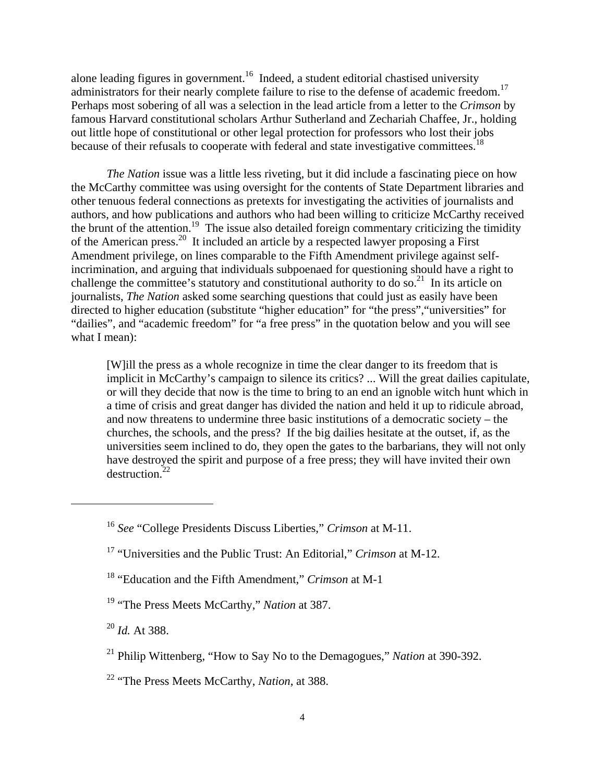alone leading figures in government.<sup>16</sup> Indeed, a student editorial chastised university administrators for their nearly complete failure to rise to the defense of academic freedom.<sup>17</sup> Perhaps most sobering of all was a selection in the lead article from a letter to the *Crimson* by famous Harvard constitutional scholars Arthur Sutherland and Zechariah Chaffee, Jr., holding out little hope of constitutional or other legal protection for professors who lost their jobs because of their refusals to cooperate with federal and state investigative committees.<sup>18</sup>

 *The Nation* issue was a little less riveting, but it did include a fascinating piece on how the McCarthy committee was using oversight for the contents of State Department libraries and other tenuous federal connections as pretexts for investigating the activities of journalists and authors, and how publications and authors who had been willing to criticize McCarthy received the brunt of the attention.<sup>19</sup> The issue also detailed foreign commentary criticizing the timidity of the American press.<sup>20</sup> It included an article by a respected lawyer proposing a First Amendment privilege, on lines comparable to the Fifth Amendment privilege against selfincrimination, and arguing that individuals subpoenaed for questioning should have a right to challenge the committee's statutory and constitutional authority to do so.<sup>21</sup> In its article on journalists, *The Nation* asked some searching questions that could just as easily have been directed to higher education (substitute "higher education" for "the press","universities" for "dailies", and "academic freedom" for "a free press" in the quotation below and you will see what I mean):

[W]ill the press as a whole recognize in time the clear danger to its freedom that is implicit in McCarthy's campaign to silence its critics? ... Will the great dailies capitulate, or will they decide that now is the time to bring to an end an ignoble witch hunt which in a time of crisis and great danger has divided the nation and held it up to ridicule abroad, and now threatens to undermine three basic institutions of a democratic society – the churches, the schools, and the press? If the big dailies hesitate at the outset, if, as the universities seem inclined to do, they open the gates to the barbarians, they will not only have destroyed the spirit and purpose of a free press; they will have invited their own  $d$ estruction.<sup>22</sup>

- 18 "Education and the Fifth Amendment," *Crimson* at M-1
- 19 "The Press Meets McCarthy," *Nation* at 387.

<sup>20</sup> *Id.* At 388.

- 21 Philip Wittenberg, "How to Say No to the Demagogues," *Nation* at 390-392.
- 22 "The Press Meets McCarthy, *Nation*, at 388.

<sup>16</sup> *See* "College Presidents Discuss Liberties," *Crimson* at M-11.

<sup>17 &</sup>quot;Universities and the Public Trust: An Editorial," *Crimson* at M-12.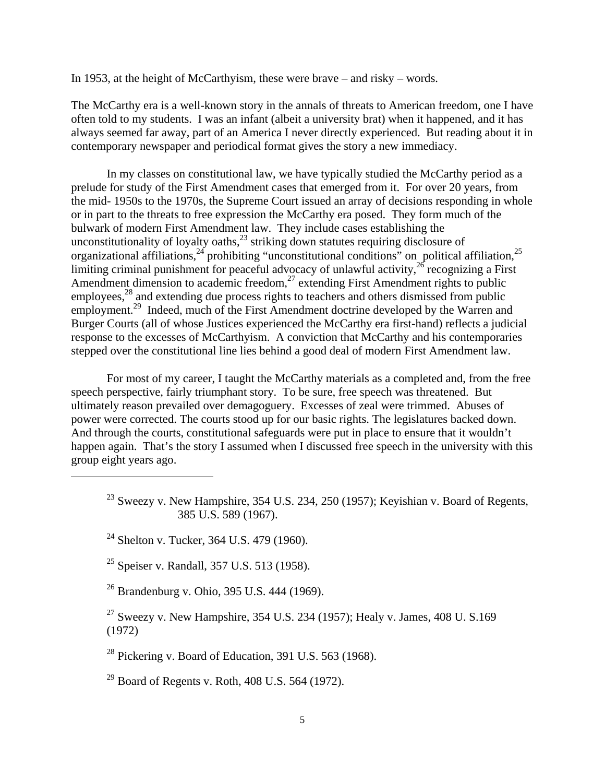In 1953, at the height of McCarthyism, these were brave – and risky – words.

The McCarthy era is a well-known story in the annals of threats to American freedom, one I have often told to my students. I was an infant (albeit a university brat) when it happened, and it has always seemed far away, part of an America I never directly experienced. But reading about it in contemporary newspaper and periodical format gives the story a new immediacy.

 In my classes on constitutional law, we have typically studied the McCarthy period as a prelude for study of the First Amendment cases that emerged from it. For over 20 years, from the mid- 1950s to the 1970s, the Supreme Court issued an array of decisions responding in whole or in part to the threats to free expression the McCarthy era posed. They form much of the bulwark of modern First Amendment law. They include cases establishing the unconstitutionality of loyalty oaths, $^{23}$  striking down statutes requiring disclosure of organizational affiliations,  $24$  prohibiting "unconstitutional conditions" on political affiliation,  $25$ limiting criminal punishment for peaceful advocacy of unlawful activity,<sup>26</sup> recognizing a First Amendment dimension to academic freedom, $^{27}$  extending First Amendment rights to public employees,<sup>28</sup> and extending due process rights to teachers and others dismissed from public employment.<sup>29</sup> Indeed, much of the First Amendment doctrine developed by the Warren and Burger Courts (all of whose Justices experienced the McCarthy era first-hand) reflects a judicial response to the excesses of McCarthyism. A conviction that McCarthy and his contemporaries stepped over the constitutional line lies behind a good deal of modern First Amendment law.

 For most of my career, I taught the McCarthy materials as a completed and, from the free speech perspective, fairly triumphant story. To be sure, free speech was threatened. But ultimately reason prevailed over demagoguery. Excesses of zeal were trimmed. Abuses of power were corrected. The courts stood up for our basic rights. The legislatures backed down. And through the courts, constitutional safeguards were put in place to ensure that it wouldn't happen again. That's the story I assumed when I discussed free speech in the university with this group eight years ago.

 $23$  Sweezy v. New Hampshire, 354 U.S. 234, 250 (1957); Keyishian v. Board of Regents, 385 U.S. 589 (1967).

 $\overline{a}$ 

25 Speiser v. Randall, 357 U.S. 513 (1958).

26 Brandenburg v. Ohio, 395 U.S. 444 (1969).

<sup>27</sup> Sweezy v. New Hampshire, 354 U.S. 234 (1957); Healy v. James, 408 U.S.169 (1972)

 $^{28}$  Pickering v. Board of Education, 391 U.S. 563 (1968).

 $^{29}$  Board of Regents v. Roth, 408 U.S. 564 (1972).

<sup>&</sup>lt;sup>24</sup> Shelton v. Tucker, 364 U.S. 479 (1960).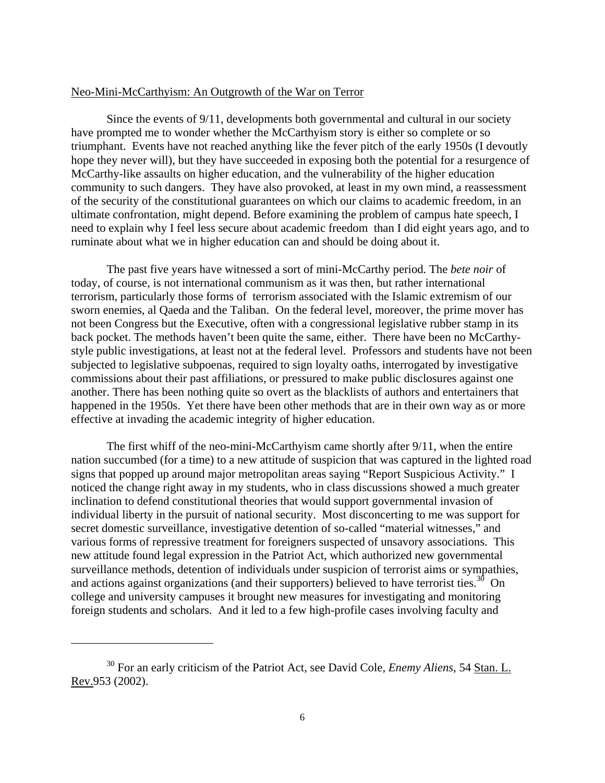### Neo-Mini-McCarthyism: An Outgrowth of the War on Terror

 Since the events of 9/11, developments both governmental and cultural in our society have prompted me to wonder whether the McCarthyism story is either so complete or so triumphant. Events have not reached anything like the fever pitch of the early 1950s (I devoutly hope they never will), but they have succeeded in exposing both the potential for a resurgence of McCarthy-like assaults on higher education, and the vulnerability of the higher education community to such dangers. They have also provoked, at least in my own mind, a reassessment of the security of the constitutional guarantees on which our claims to academic freedom, in an ultimate confrontation, might depend. Before examining the problem of campus hate speech, I need to explain why I feel less secure about academic freedom than I did eight years ago, and to ruminate about what we in higher education can and should be doing about it.

 The past five years have witnessed a sort of mini-McCarthy period. The *bete noir* of today, of course, is not international communism as it was then, but rather international terrorism, particularly those forms of terrorism associated with the Islamic extremism of our sworn enemies, al Qaeda and the Taliban. On the federal level, moreover, the prime mover has not been Congress but the Executive, often with a congressional legislative rubber stamp in its back pocket. The methods haven't been quite the same, either. There have been no McCarthystyle public investigations, at least not at the federal level. Professors and students have not been subjected to legislative subpoenas, required to sign loyalty oaths, interrogated by investigative commissions about their past affiliations, or pressured to make public disclosures against one another. There has been nothing quite so overt as the blacklists of authors and entertainers that happened in the 1950s. Yet there have been other methods that are in their own way as or more effective at invading the academic integrity of higher education.

 The first whiff of the neo-mini-McCarthyism came shortly after 9/11, when the entire nation succumbed (for a time) to a new attitude of suspicion that was captured in the lighted road signs that popped up around major metropolitan areas saying "Report Suspicious Activity." I noticed the change right away in my students, who in class discussions showed a much greater inclination to defend constitutional theories that would support governmental invasion of individual liberty in the pursuit of national security. Most disconcerting to me was support for secret domestic surveillance, investigative detention of so-called "material witnesses," and various forms of repressive treatment for foreigners suspected of unsavory associations. This new attitude found legal expression in the Patriot Act, which authorized new governmental surveillance methods, detention of individuals under suspicion of terrorist aims or sympathies, and actions against organizations (and their supporters) believed to have terrorist ties.<sup>30</sup> On college and university campuses it brought new measures for investigating and monitoring foreign students and scholars. And it led to a few high-profile cases involving faculty and

<sup>30</sup> For an early criticism of the Patriot Act, see David Cole, *Enemy Aliens*, 54 Stan. L. Rev.953 (2002).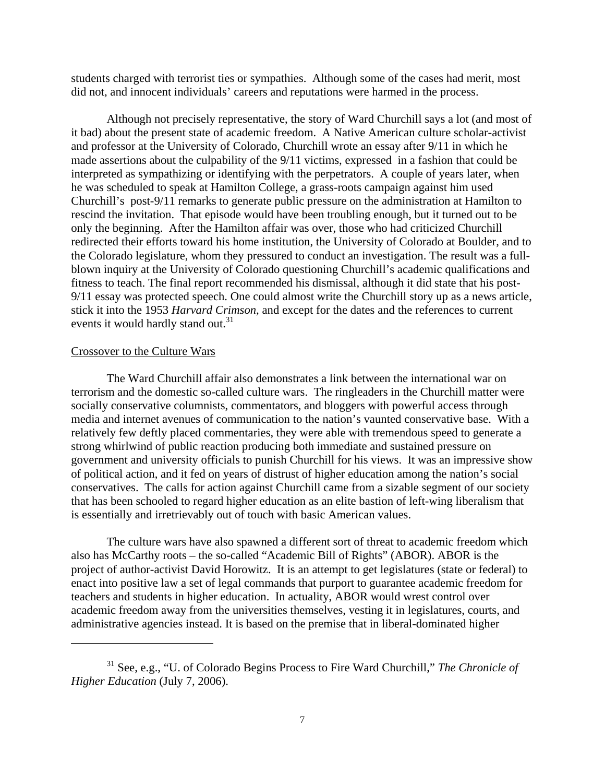students charged with terrorist ties or sympathies. Although some of the cases had merit, most did not, and innocent individuals' careers and reputations were harmed in the process.

 Although not precisely representative, the story of Ward Churchill says a lot (and most of it bad) about the present state of academic freedom. A Native American culture scholar-activist and professor at the University of Colorado, Churchill wrote an essay after 9/11 in which he made assertions about the culpability of the 9/11 victims, expressed in a fashion that could be interpreted as sympathizing or identifying with the perpetrators. A couple of years later, when he was scheduled to speak at Hamilton College, a grass-roots campaign against him used Churchill's post-9/11 remarks to generate public pressure on the administration at Hamilton to rescind the invitation. That episode would have been troubling enough, but it turned out to be only the beginning. After the Hamilton affair was over, those who had criticized Churchill redirected their efforts toward his home institution, the University of Colorado at Boulder, and to the Colorado legislature, whom they pressured to conduct an investigation. The result was a fullblown inquiry at the University of Colorado questioning Churchill's academic qualifications and fitness to teach. The final report recommended his dismissal, although it did state that his post-9/11 essay was protected speech. One could almost write the Churchill story up as a news article, stick it into the 1953 *Harvard Crimson,* and except for the dates and the references to current events it would hardly stand out.<sup>31</sup>

#### Crossover to the Culture Wars

 $\overline{a}$ 

 The Ward Churchill affair also demonstrates a link between the international war on terrorism and the domestic so-called culture wars. The ringleaders in the Churchill matter were socially conservative columnists, commentators, and bloggers with powerful access through media and internet avenues of communication to the nation's vaunted conservative base. With a relatively few deftly placed commentaries, they were able with tremendous speed to generate a strong whirlwind of public reaction producing both immediate and sustained pressure on government and university officials to punish Churchill for his views. It was an impressive show of political action, and it fed on years of distrust of higher education among the nation's social conservatives. The calls for action against Churchill came from a sizable segment of our society that has been schooled to regard higher education as an elite bastion of left-wing liberalism that is essentially and irretrievably out of touch with basic American values.

 The culture wars have also spawned a different sort of threat to academic freedom which also has McCarthy roots – the so-called "Academic Bill of Rights" (ABOR). ABOR is the project of author-activist David Horowitz. It is an attempt to get legislatures (state or federal) to enact into positive law a set of legal commands that purport to guarantee academic freedom for teachers and students in higher education. In actuality, ABOR would wrest control over academic freedom away from the universities themselves, vesting it in legislatures, courts, and administrative agencies instead. It is based on the premise that in liberal-dominated higher

<sup>31</sup> See, e.g., "U. of Colorado Begins Process to Fire Ward Churchill," *The Chronicle of Higher Education* (July 7, 2006).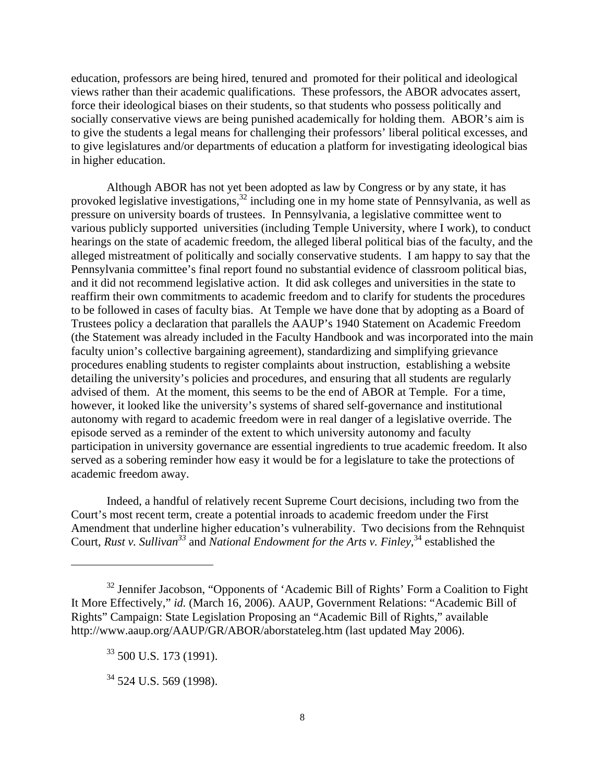education, professors are being hired, tenured and promoted for their political and ideological views rather than their academic qualifications. These professors, the ABOR advocates assert, force their ideological biases on their students, so that students who possess politically and socially conservative views are being punished academically for holding them. ABOR's aim is to give the students a legal means for challenging their professors' liberal political excesses, and to give legislatures and/or departments of education a platform for investigating ideological bias in higher education.

 Although ABOR has not yet been adopted as law by Congress or by any state, it has provoked legislative investigations,<sup>32</sup> including one in my home state of Pennsylvania, as well as pressure on university boards of trustees. In Pennsylvania, a legislative committee went to various publicly supported universities (including Temple University, where I work), to conduct hearings on the state of academic freedom, the alleged liberal political bias of the faculty, and the alleged mistreatment of politically and socially conservative students. I am happy to say that the Pennsylvania committee's final report found no substantial evidence of classroom political bias, and it did not recommend legislative action. It did ask colleges and universities in the state to reaffirm their own commitments to academic freedom and to clarify for students the procedures to be followed in cases of faculty bias. At Temple we have done that by adopting as a Board of Trustees policy a declaration that parallels the AAUP's 1940 Statement on Academic Freedom (the Statement was already included in the Faculty Handbook and was incorporated into the main faculty union's collective bargaining agreement), standardizing and simplifying grievance procedures enabling students to register complaints about instruction, establishing a website detailing the university's policies and procedures, and ensuring that all students are regularly advised of them. At the moment, this seems to be the end of ABOR at Temple. For a time, however, it looked like the university's systems of shared self-governance and institutional autonomy with regard to academic freedom were in real danger of a legislative override. The episode served as a reminder of the extent to which university autonomy and faculty participation in university governance are essential ingredients to true academic freedom. It also served as a sobering reminder how easy it would be for a legislature to take the protections of academic freedom away.

 Indeed, a handful of relatively recent Supreme Court decisions, including two from the Court's most recent term, create a potential inroads to academic freedom under the First Amendment that underline higher education's vulnerability. Two decisions from the Rehnquist Court, *Rust v. Sullivan*<sup>33</sup> and *National Endowment for the Arts v. Finley*,<sup>34</sup> established the

<sup>&</sup>lt;sup>32</sup> Jennifer Jacobson, "Opponents of 'Academic Bill of Rights' Form a Coalition to Fight It More Effectively," *id.* (March 16, 2006). AAUP, Government Relations: "Academic Bill of Rights" Campaign: State Legislation Proposing an "Academic Bill of Rights," available http://www.aaup.org/AAUP/GR/ABOR/aborstateleg.htm (last updated May 2006).

 $33$  500 U.S. 173 (1991).

 $34$  524 U.S. 569 (1998).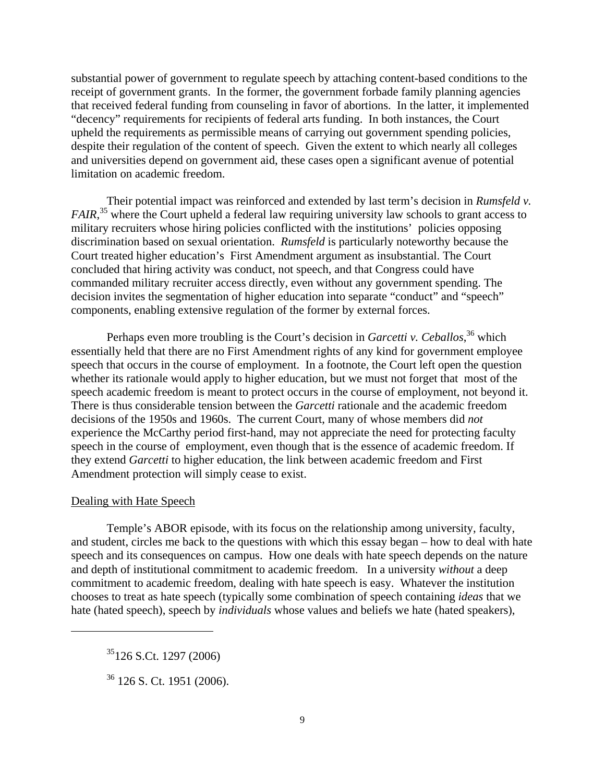substantial power of government to regulate speech by attaching content-based conditions to the receipt of government grants. In the former, the government forbade family planning agencies that received federal funding from counseling in favor of abortions. In the latter, it implemented "decency" requirements for recipients of federal arts funding. In both instances, the Court upheld the requirements as permissible means of carrying out government spending policies, despite their regulation of the content of speech. Given the extent to which nearly all colleges and universities depend on government aid, these cases open a significant avenue of potential limitation on academic freedom.

 Their potential impact was reinforced and extended by last term's decision in *Rumsfeld v.*  FAIR,<sup>35</sup> where the Court upheld a federal law requiring university law schools to grant access to military recruiters whose hiring policies conflicted with the institutions' policies opposing discrimination based on sexual orientation. *Rumsfeld* is particularly noteworthy because the Court treated higher education's First Amendment argument as insubstantial. The Court concluded that hiring activity was conduct, not speech, and that Congress could have commanded military recruiter access directly, even without any government spending. The decision invites the segmentation of higher education into separate "conduct" and "speech" components, enabling extensive regulation of the former by external forces.

Perhaps even more troubling is the Court's decision in *Garcetti v. Ceballos*<sup>36</sup>, which essentially held that there are no First Amendment rights of any kind for government employee speech that occurs in the course of employment. In a footnote, the Court left open the question whether its rationale would apply to higher education, but we must not forget that most of the speech academic freedom is meant to protect occurs in the course of employment, not beyond it. There is thus considerable tension between the *Garcetti* rationale and the academic freedom decisions of the 1950s and 1960s. The current Court, many of whose members did *not* experience the McCarthy period first-hand, may not appreciate the need for protecting faculty speech in the course of employment, even though that is the essence of academic freedom. If they extend *Garcetti* to higher education, the link between academic freedom and First Amendment protection will simply cease to exist.

### Dealing with Hate Speech

1

 Temple's ABOR episode, with its focus on the relationship among university, faculty, and student, circles me back to the questions with which this essay began – how to deal with hate speech and its consequences on campus. How one deals with hate speech depends on the nature and depth of institutional commitment to academic freedom. In a university *without* a deep commitment to academic freedom, dealing with hate speech is easy. Whatever the institution chooses to treat as hate speech (typically some combination of speech containing *ideas* that we hate (hated speech), speech by *individuals* whose values and beliefs we hate (hated speakers),

 $35126$  S.Ct. 1297 (2006)

 $36$  126 S. Ct. 1951 (2006).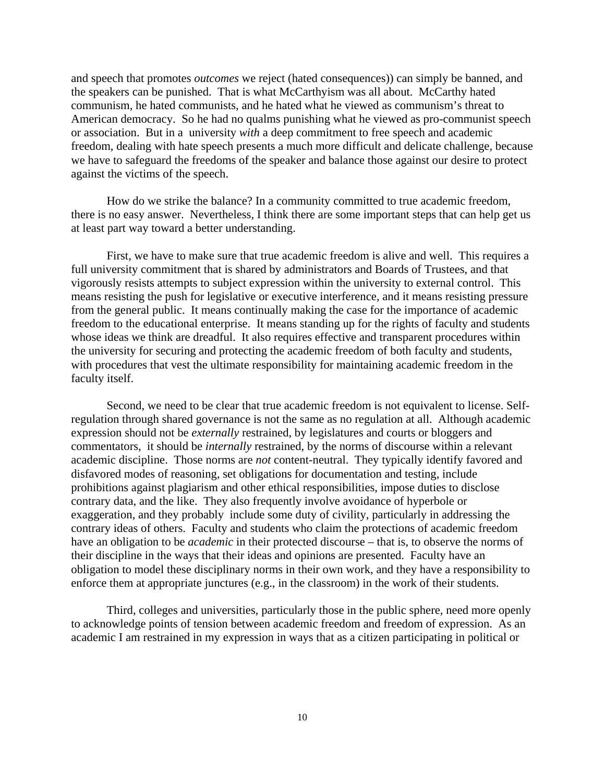and speech that promotes *outcomes* we reject (hated consequences)) can simply be banned, and the speakers can be punished. That is what McCarthyism was all about. McCarthy hated communism, he hated communists, and he hated what he viewed as communism's threat to American democracy. So he had no qualms punishing what he viewed as pro-communist speech or association. But in a university *with* a deep commitment to free speech and academic freedom, dealing with hate speech presents a much more difficult and delicate challenge, because we have to safeguard the freedoms of the speaker and balance those against our desire to protect against the victims of the speech.

 How do we strike the balance? In a community committed to true academic freedom, there is no easy answer. Nevertheless, I think there are some important steps that can help get us at least part way toward a better understanding.

 First, we have to make sure that true academic freedom is alive and well. This requires a full university commitment that is shared by administrators and Boards of Trustees, and that vigorously resists attempts to subject expression within the university to external control. This means resisting the push for legislative or executive interference, and it means resisting pressure from the general public. It means continually making the case for the importance of academic freedom to the educational enterprise. It means standing up for the rights of faculty and students whose ideas we think are dreadful. It also requires effective and transparent procedures within the university for securing and protecting the academic freedom of both faculty and students, with procedures that vest the ultimate responsibility for maintaining academic freedom in the faculty itself.

 Second, we need to be clear that true academic freedom is not equivalent to license. Selfregulation through shared governance is not the same as no regulation at all. Although academic expression should not be *externally* restrained, by legislatures and courts or bloggers and commentators, it should be *internally* restrained, by the norms of discourse within a relevant academic discipline. Those norms are *not* content-neutral. They typically identify favored and disfavored modes of reasoning, set obligations for documentation and testing, include prohibitions against plagiarism and other ethical responsibilities, impose duties to disclose contrary data, and the like. They also frequently involve avoidance of hyperbole or exaggeration, and they probably include some duty of civility, particularly in addressing the contrary ideas of others. Faculty and students who claim the protections of academic freedom have an obligation to be *academic* in their protected discourse – that is, to observe the norms of their discipline in the ways that their ideas and opinions are presented. Faculty have an obligation to model these disciplinary norms in their own work, and they have a responsibility to enforce them at appropriate junctures (e.g., in the classroom) in the work of their students.

 Third, colleges and universities, particularly those in the public sphere, need more openly to acknowledge points of tension between academic freedom and freedom of expression. As an academic I am restrained in my expression in ways that as a citizen participating in political or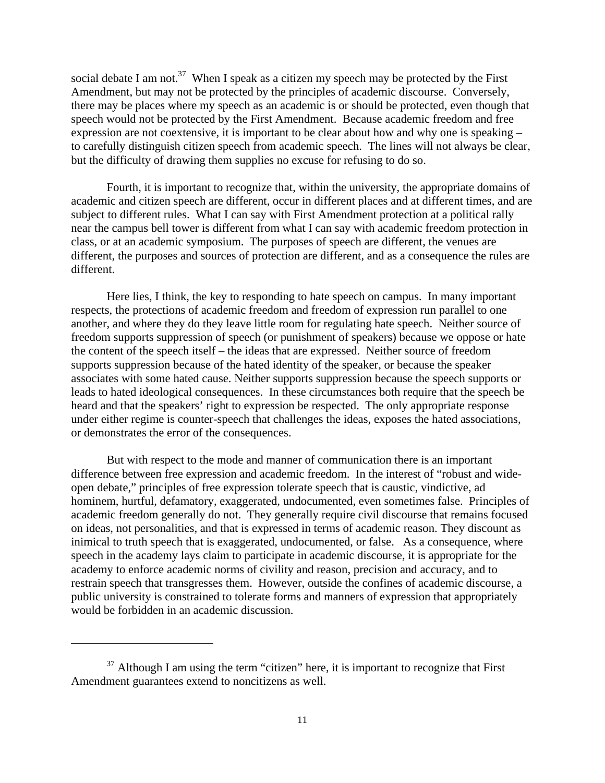social debate I am not.<sup>37</sup> When I speak as a citizen my speech may be protected by the First Amendment, but may not be protected by the principles of academic discourse. Conversely, there may be places where my speech as an academic is or should be protected, even though that speech would not be protected by the First Amendment. Because academic freedom and free expression are not coextensive, it is important to be clear about how and why one is speaking – to carefully distinguish citizen speech from academic speech. The lines will not always be clear, but the difficulty of drawing them supplies no excuse for refusing to do so.

 Fourth, it is important to recognize that, within the university, the appropriate domains of academic and citizen speech are different, occur in different places and at different times, and are subject to different rules. What I can say with First Amendment protection at a political rally near the campus bell tower is different from what I can say with academic freedom protection in class, or at an academic symposium. The purposes of speech are different, the venues are different, the purposes and sources of protection are different, and as a consequence the rules are different.

 Here lies, I think, the key to responding to hate speech on campus. In many important respects, the protections of academic freedom and freedom of expression run parallel to one another, and where they do they leave little room for regulating hate speech. Neither source of freedom supports suppression of speech (or punishment of speakers) because we oppose or hate the content of the speech itself – the ideas that are expressed. Neither source of freedom supports suppression because of the hated identity of the speaker, or because the speaker associates with some hated cause. Neither supports suppression because the speech supports or leads to hated ideological consequences. In these circumstances both require that the speech be heard and that the speakers' right to expression be respected. The only appropriate response under either regime is counter-speech that challenges the ideas, exposes the hated associations, or demonstrates the error of the consequences.

 But with respect to the mode and manner of communication there is an important difference between free expression and academic freedom. In the interest of "robust and wideopen debate," principles of free expression tolerate speech that is caustic, vindictive, ad hominem, hurtful, defamatory, exaggerated, undocumented, even sometimes false. Principles of academic freedom generally do not. They generally require civil discourse that remains focused on ideas, not personalities, and that is expressed in terms of academic reason. They discount as inimical to truth speech that is exaggerated, undocumented, or false. As a consequence, where speech in the academy lays claim to participate in academic discourse, it is appropriate for the academy to enforce academic norms of civility and reason, precision and accuracy, and to restrain speech that transgresses them. However, outside the confines of academic discourse, a public university is constrained to tolerate forms and manners of expression that appropriately would be forbidden in an academic discussion.

 $37$  Although I am using the term "citizen" here, it is important to recognize that First Amendment guarantees extend to noncitizens as well.